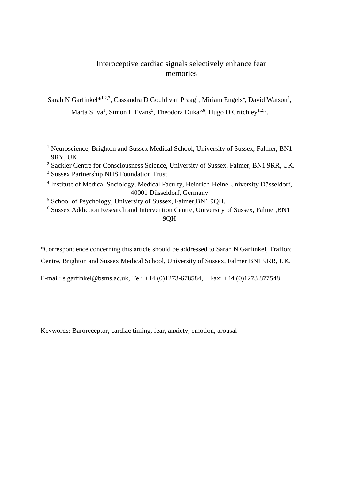# Interoceptive cardiac signals selectively enhance fear memories

Sarah N Garfinkel $*^{1,2,3}$ , Cassandra D Gould van Praag<sup>1</sup>, Miriam Engels<sup>4</sup>, David Watson<sup>1</sup>, Marta Silva<sup>1</sup>, Simon L Evans<sup>5</sup>, Theodora Duka<sup>5,6</sup>, Hugo D Critchley<sup>1,2,3</sup>.

- <sup>1</sup> Neuroscience, Brighton and Sussex Medical School, University of Sussex, Falmer, BN1 9RY, UK.
- <sup>2</sup> Sackler Centre for Consciousness Science, University of Sussex, Falmer, BN1 9RR, UK.
- <sup>3</sup> Sussex Partnership NHS Foundation Trust
- <sup>4</sup> Institute of Medical Sociology, Medical Faculty, Heinrich-Heine University Düsseldorf, 40001 Düsseldorf, Germany
- <sup>5</sup> School of Psychology, University of Sussex, Falmer,BN1 9QH.
- <sup>6</sup> Sussex Addiction Research and Intervention Centre, University of Sussex, Falmer,BN1 9QH

\*Correspondence concerning this article should be addressed to Sarah N Garfinkel, Trafford Centre, Brighton and Sussex Medical School, University of Sussex, Falmer BN1 9RR, UK.

E-mail: s.garfinkel@bsms.ac.uk, Tel: +44 (0)1273-678584, Fax: +44 (0)1273 877548

Keywords: Baroreceptor, cardiac timing, fear, anxiety, emotion, arousal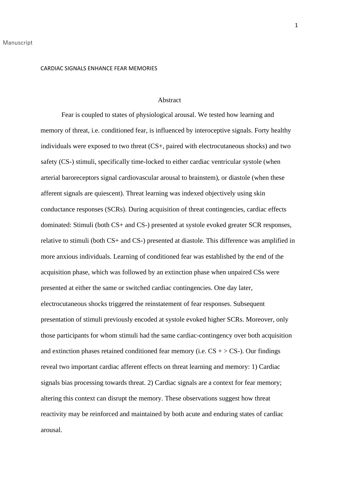#### Abstract

Fear is coupled to states of physiological arousal. We tested how learning and memory of threat, i.e. conditioned fear, is influenced by interoceptive signals. Forty healthy individuals were exposed to two threat (CS+, paired with electrocutaneous shocks) and two safety (CS-) stimuli, specifically time-locked to either cardiac ventricular systole (when arterial baroreceptors signal cardiovascular arousal to brainstem), or diastole (when these afferent signals are quiescent). Threat learning was indexed objectively using skin conductance responses (SCRs). During acquisition of threat contingencies, cardiac effects dominated: Stimuli (both CS+ and CS-) presented at systole evoked greater SCR responses, relative to stimuli (both CS+ and CS-) presented at diastole. This difference was amplified in more anxious individuals. Learning of conditioned fear was established by the end of the acquisition phase, which was followed by an extinction phase when unpaired CSs were presented at either the same or switched cardiac contingencies. One day later, electrocutaneous shocks triggered the reinstatement of fear responses. Subsequent presentation of stimuli previously encoded at systole evoked higher SCRs. Moreover, only those participants for whom stimuli had the same cardiac-contingency over both acquisition and extinction phases retained conditioned fear memory (i.e.  $CS + > CS$ -). Our findings reveal two important cardiac afferent effects on threat learning and memory: 1) Cardiac signals bias processing towards threat. 2) Cardiac signals are a context for fear memory; altering this context can disrupt the memory. These observations suggest how threat reactivity may be reinforced and maintained by both acute and enduring states of cardiac arousal.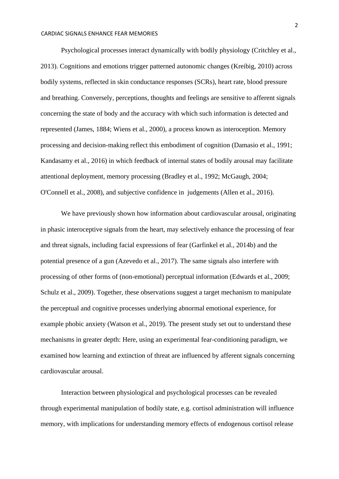Psychological processes interact dynamically with bodily physiology (Critchley et al., 2013). Cognitions and emotions trigger patterned autonomic changes (Kreibig, 2010) across bodily systems, reflected in skin conductance responses (SCRs), heart rate, blood pressure and breathing. Conversely, perceptions, thoughts and feelings are sensitive to afferent signals concerning the state of body and the accuracy with which such information is detected and represented (James, 1884; Wiens et al., 2000), a process known as interoception. Memory processing and decision-making reflect this embodiment of cognition (Damasio et al., 1991; Kandasamy et al., 2016) in which feedback of internal states of bodily arousal may facilitate attentional deployment, memory processing (Bradley et al., 1992; McGaugh, 2004; O'Connell et al., 2008), and subjective confidence in judgements (Allen et al., 2016).

We have previously shown how information about cardiovascular arousal, originating in phasic interoceptive signals from the heart, may selectively enhance the processing of fear and threat signals, including facial expressions of fear (Garfinkel et al., 2014b) and the potential presence of a gun (Azevedo et al., 2017). The same signals also interfere with processing of other forms of (non-emotional) perceptual information (Edwards et al., 2009; Schulz et al., 2009). Together, these observations suggest a target mechanism to manipulate the perceptual and cognitive processes underlying abnormal emotional experience, for example phobic anxiety (Watson et al., 2019). The present study set out to understand these mechanisms in greater depth: Here, using an experimental fear-conditioning paradigm, we examined how learning and extinction of threat are influenced by afferent signals concerning cardiovascular arousal.

Interaction between physiological and psychological processes can be revealed through experimental manipulation of bodily state, e.g. cortisol administration will influence memory, with implications for understanding memory effects of endogenous cortisol release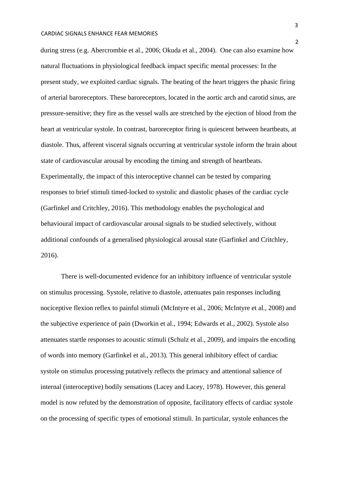during stress (e.g. Abercrombie et al., 2006; Okuda et al., 2004). One can also examine how natural fluctuations in physiological feedback impact specific mental processes: In the present study, we exploited cardiac signals. The beating of the heart triggers the phasic firing of arterial baroreceptors. These baroreceptors, located in the aortic arch and carotid sinus, are pressure-sensitive; they fire as the vessel walls are stretched by the ejection of blood from the heart at ventricular systole. In contrast, baroreceptor firing is quiescent between heartbeats, at diastole. Thus, afferent visceral signals occurring at ventricular systole inform the brain about state of cardiovascular arousal by encoding the timing and strength of heartbeats. Experimentally, the impact of this interoceptive channel can be tested by comparing responses to brief stimuli timed-locked to systolic and diastolic phases of the cardiac cycle (Garfinkel and Critchley, 2016). This methodology enables the psychological and behavioural impact of cardiovascular arousal signals to be studied selectively, without additional confounds of a generalised physiological arousal state (Garfinkel and Critchley, 2016).

There is well-documented evidence for an inhibitory influence of ventricular systole on stimulus processing. Systole, relative to diastole, attenuates pain responses including nociceptive flexion reflex to painful stimuli (McIntyre et al., 2006; McIntyre et al., 2008) and the subjective experience of pain (Dworkin et al., 1994; Edwards et al., 2002). Systole also attenuates startle responses to acoustic stimuli (Schulz et al., 2009), and impairs the encoding of words into memory (Garfinkel et al., 2013). This general inhibitory effect of cardiac systole on stimulus processing putatively reflects the primacy and attentional salience of internal (interoceptive) bodily sensations (Lacey and Lacey, 1978). However, this general model is now refuted by the demonstration of opposite, facilitatory effects of cardiac systole on the processing of specific types of emotional stimuli. In particular, systole enhances the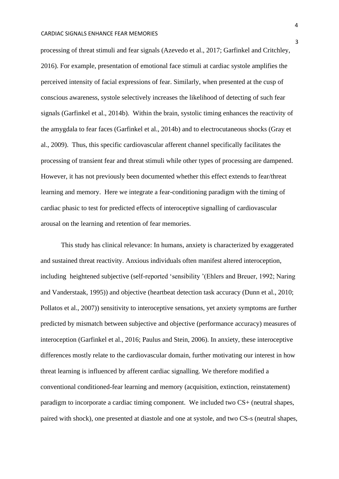processing of threat stimuli and fear signals (Azevedo et al., 2017; Garfinkel and Critchley, 2016). For example, presentation of emotional face stimuli at cardiac systole amplifies the perceived intensity of facial expressions of fear. Similarly, when presented at the cusp of conscious awareness, systole selectively increases the likelihood of detecting of such fear signals (Garfinkel et al., 2014b). Within the brain, systolic timing enhances the reactivity of the amygdala to fear faces (Garfinkel et al., 2014b) and to electrocutaneous shocks (Gray et al., 2009). Thus, this specific cardiovascular afferent channel specifically facilitates the processing of transient fear and threat stimuli while other types of processing are dampened. However, it has not previously been documented whether this effect extends to fear/threat learning and memory. Here we integrate a fear-conditioning paradigm with the timing of cardiac phasic to test for predicted effects of interoceptive signalling of cardiovascular arousal on the learning and retention of fear memories.

This study has clinical relevance: In humans, anxiety is characterized by exaggerated and sustained threat reactivity. Anxious individuals often manifest altered interoception, including heightened subjective (self-reported 'sensibility '(Ehlers and Breuer, 1992; Naring and Vanderstaak, 1995)) and objective (heartbeat detection task accuracy (Dunn et al., 2010; Pollatos et al., 2007)) sensitivity to interoceptive sensations, yet anxiety symptoms are further predicted by mismatch between subjective and objective (performance accuracy) measures of interoception (Garfinkel et al., 2016; Paulus and Stein, 2006). In anxiety, these interoceptive differences mostly relate to the cardiovascular domain, further motivating our interest in how threat learning is influenced by afferent cardiac signalling. We therefore modified a conventional conditioned-fear learning and memory (acquisition, extinction, reinstatement) paradigm to incorporate a cardiac timing component. We included two CS+ (neutral shapes, paired with shock), one presented at diastole and one at systole, and two CS-s (neutral shapes,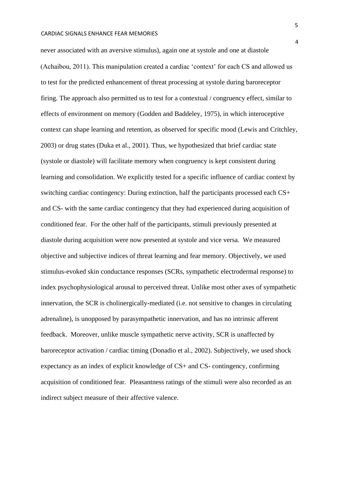never associated with an aversive stimulus), again one at systole and one at diastole (Achaibou, 2011). This manipulation created a cardiac 'context' for each CS and allowed us to test for the predicted enhancement of threat processing at systole during baroreceptor firing. The approach also permitted us to test for a contextual / congruency effect, similar to effects of environment on memory (Godden and Baddeley, 1975), in which interoceptive context can shape learning and retention, as observed for specific mood (Lewis and Critchley, 2003) or drug states (Duka et al., 2001). Thus, we hypothesized that brief cardiac state (systole or diastole) will facilitate memory when congruency is kept consistent during learning and consolidation. We explicitly tested for a specific influence of cardiac context by switching cardiac contingency: During extinction, half the participants processed each CS+ and CS- with the same cardiac contingency that they had experienced during acquisition of conditioned fear. For the other half of the participants, stimuli previously presented at diastole during acquisition were now presented at systole and vice versa. We measured objective and subjective indices of threat learning and fear memory. Objectively, we used stimulus-evoked skin conductance responses (SCRs, sympathetic electrodermal response) to index psychophysiological arousal to perceived threat. Unlike most other axes of sympathetic innervation, the SCR is cholinergically-mediated (i.e. not sensitive to changes in circulating adrenaline), is unopposed by parasympathetic innervation, and has no intrinsic afferent feedback. Moreover, unlike muscle sympathetic nerve activity, SCR is unaffected by baroreceptor activation / cardiac timing (Donadio et al., 2002). Subjectively, we used shock expectancy as an index of explicit knowledge of CS+ and CS- contingency, confirming acquisition of conditioned fear. Pleasantness ratings of the stimuli were also recorded as an indirect subject measure of their affective valence.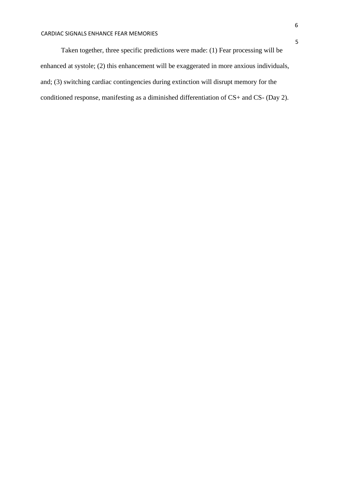Taken together, three specific predictions were made: (1) Fear processing will be enhanced at systole; (2) this enhancement will be exaggerated in more anxious individuals, and; (3) switching cardiac contingencies during extinction will disrupt memory for the conditioned response, manifesting as a diminished differentiation of CS+ and CS- (Day 2).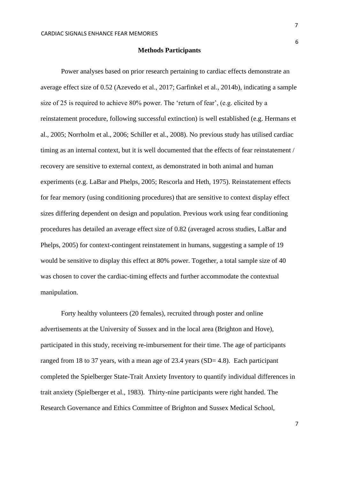6

#### **Methods Participants**

Power analyses based on prior research pertaining to cardiac effects demonstrate an average effect size of 0.52 (Azevedo et al., 2017; Garfinkel et al., 2014b), indicating a sample size of 25 is required to achieve 80% power. The 'return of fear', (e.g. elicited by a reinstatement procedure, following successful extinction) is well established (e.g. Hermans et al., 2005; Norrholm et al., 2006; Schiller et al., 2008). No previous study has utilised cardiac timing as an internal context, but it is well documented that the effects of fear reinstatement / recovery are sensitive to external context, as demonstrated in both animal and human experiments (e.g. LaBar and Phelps, 2005; Rescorla and Heth, 1975). Reinstatement effects for fear memory (using conditioning procedures) that are sensitive to context display effect sizes differing dependent on design and population. Previous work using fear conditioning procedures has detailed an average effect size of 0.82 (averaged across studies, LaBar and Phelps, 2005) for context-contingent reinstatement in humans, suggesting a sample of 19 would be sensitive to display this effect at 80% power. Together, a total sample size of 40 was chosen to cover the cardiac-timing effects and further accommodate the contextual manipulation.

Forty healthy volunteers (20 females), recruited through poster and online advertisements at the University of Sussex and in the local area (Brighton and Hove), participated in this study, receiving re-imbursement for their time. The age of participants ranged from 18 to 37 years, with a mean age of 23.4 years (SD= 4.8). Each participant completed the Spielberger State-Trait Anxiety Inventory to quantify individual differences in trait anxiety (Spielberger et al., 1983). Thirty-nine participants were right handed. The Research Governance and Ethics Committee of Brighton and Sussex Medical School,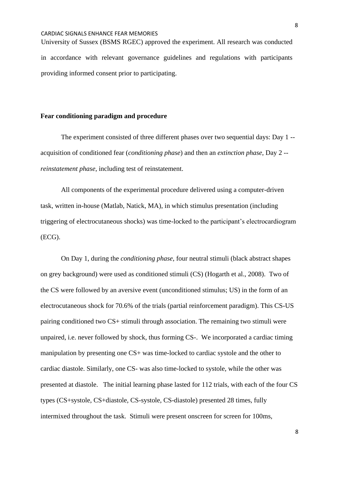University of Sussex (BSMS RGEC) approved the experiment. All research was conducted in accordance with relevant governance guidelines and regulations with participants providing informed consent prior to participating.

# **Fear conditioning paradigm and procedure**

The experiment consisted of three different phases over two sequential days: Day 1 - acquisition of conditioned fear (*conditioning phase*) and then an *extinction phase*, Day 2 - *reinstatement phase*, including test of reinstatement.

All components of the experimental procedure delivered using a computer-driven task, written in-house (Matlab, Natick, MA), in which stimulus presentation (including triggering of electrocutaneous shocks) was time-locked to the participant's electrocardiogram (ECG).

On Day 1, during the *conditioning phase*, four neutral stimuli (black abstract shapes on grey background) were used as conditioned stimuli (CS) (Hogarth et al., 2008). Two of the CS were followed by an aversive event (unconditioned stimulus; US) in the form of an electrocutaneous shock for 70.6% of the trials (partial reinforcement paradigm). This CS-US pairing conditioned two CS+ stimuli through association. The remaining two stimuli were unpaired, i.e. never followed by shock, thus forming CS-. We incorporated a cardiac timing manipulation by presenting one CS+ was time-locked to cardiac systole and the other to cardiac diastole. Similarly, one CS- was also time-locked to systole, while the other was presented at diastole. The initial learning phase lasted for 112 trials, with each of the four CS types (CS+systole, CS+diastole, CS-systole, CS-diastole) presented 28 times, fully intermixed throughout the task. Stimuli were present onscreen for screen for 100ms,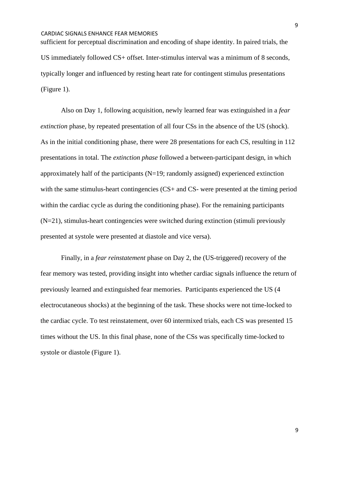sufficient for perceptual discrimination and encoding of shape identity. In paired trials, the US immediately followed CS+ offset. Inter-stimulus interval was a minimum of 8 seconds, typically longer and influenced by resting heart rate for contingent stimulus presentations (Figure 1).

Also on Day 1, following acquisition, newly learned fear was extinguished in a *fear extinction* phase, by repeated presentation of all four CSs in the absence of the US (shock). As in the initial conditioning phase, there were 28 presentations for each CS, resulting in 112 presentations in total. The *extinction phase* followed a between-participant design, in which approximately half of the participants  $(N=19; \text{ randomly assigned})$  experienced extinction with the same stimulus-heart contingencies (CS+ and CS- were presented at the timing period within the cardiac cycle as during the conditioning phase). For the remaining participants (N=21), stimulus-heart contingencies were switched during extinction (stimuli previously presented at systole were presented at diastole and vice versa).

Finally, in a *fear reinstatement* phase on Day 2, the (US-triggered) recovery of the fear memory was tested, providing insight into whether cardiac signals influence the return of previously learned and extinguished fear memories. Participants experienced the US (4 electrocutaneous shocks) at the beginning of the task. These shocks were not time-locked to the cardiac cycle. To test reinstatement, over 60 intermixed trials, each CS was presented 15 times without the US. In this final phase, none of the CSs was specifically time-locked to systole or diastole (Figure 1).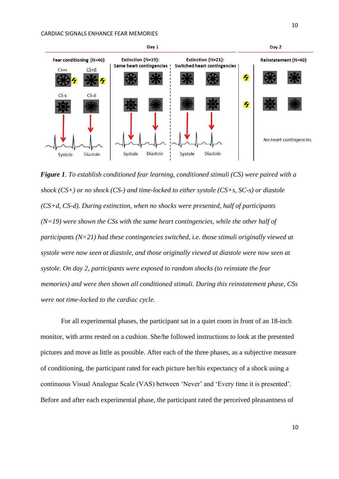

*Figure 1. To establish conditioned fear learning, conditioned stimuli (CS) were paired with a shock (CS+) or no shock (CS-) and time-locked to either systole (CS+s, SC-s) or diastole (CS+d, CS-d). During extinction, when no shocks were presented, half of participants (N=19) were shown the CSs with the same heart contingencies, while the other half of participants (N=21) had these contingencies switched, i.e. those stimuli originally viewed at systole were now seen at diastole, and those originally viewed at diastole were now seen at systole. On day 2, participants were exposed to random shocks (to reinstate the fear memories) and were then shown all conditioned stimuli. During this reinstatement phase, CSs were not time-locked to the cardiac cycle.* 

For all experimental phases, the participant sat in a quiet room in front of an 18-inch monitor, with arms rested on a cushion. She/he followed instructions to look at the presented pictures and move as little as possible. After each of the three phases, as a subjective measure of conditioning, the participant rated for each picture her/his expectancy of a shock using a continuous Visual Analogue Scale (VAS) between 'Never' and 'Every time it is presented'. Before and after each experimental phase, the participant rated the perceived pleasantness of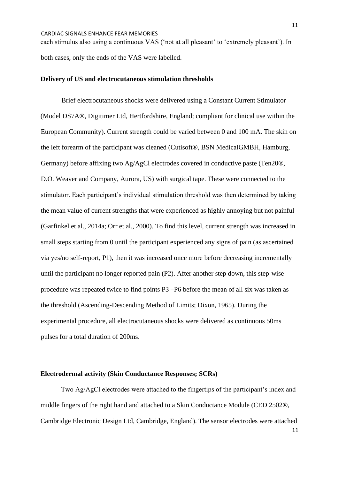each stimulus also using a continuous VAS ('not at all pleasant' to 'extremely pleasant'). In both cases, only the ends of the VAS were labelled.

# **Delivery of US and electrocutaneous stimulation thresholds**

Brief electrocutaneous shocks were delivered using a Constant Current Stimulator (Model DS7A®, Digitimer Ltd, Hertfordshire, England; compliant for clinical use within the European Community). Current strength could be varied between 0 and 100 mA. The skin on the left forearm of the participant was cleaned (Cutisoft®, BSN MedicalGMBH, Hamburg, Germany) before affixing two Ag/AgCl electrodes covered in conductive paste (Ten20®, D.O. Weaver and Company, Aurora, US) with surgical tape. These were connected to the stimulator. Each participant's individual stimulation threshold was then determined by taking the mean value of current strengths that were experienced as highly annoying but not painful (Garfinkel et al., 2014a; Orr et al., 2000). To find this level, current strength was increased in small steps starting from 0 until the participant experienced any signs of pain (as ascertained via yes/no self-report, P1), then it was increased once more before decreasing incrementally until the participant no longer reported pain (P2). After another step down, this step-wise procedure was repeated twice to find points P3 –P6 before the mean of all six was taken as the threshold (Ascending-Descending Method of Limits; Dixon, 1965). During the experimental procedure, all electrocutaneous shocks were delivered as continuous 50ms pulses for a total duration of 200ms.

# **Electrodermal activity (Skin Conductance Responses; SCRs)**

Two Ag/AgCl electrodes were attached to the fingertips of the participant's index and middle fingers of the right hand and attached to a Skin Conductance Module (CED 2502®, Cambridge Electronic Design Ltd, Cambridge, England). The sensor electrodes were attached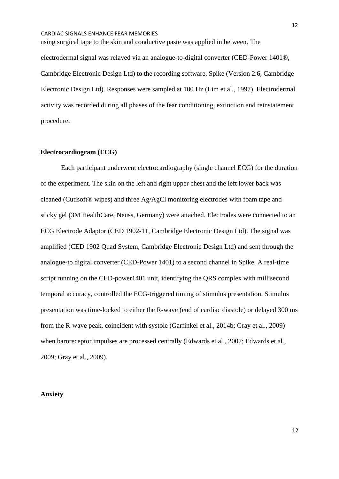using surgical tape to the skin and conductive paste was applied in between. The electrodermal signal was relayed via an analogue-to-digital converter (CED-Power 1401®, Cambridge Electronic Design Ltd) to the recording software, Spike (Version 2.6, Cambridge Electronic Design Ltd). Responses were sampled at 100 Hz (Lim et al., 1997). Electrodermal activity was recorded during all phases of the fear conditioning, extinction and reinstatement procedure.

### **Electrocardiogram (ECG)**

Each participant underwent electrocardiography (single channel ECG) for the duration of the experiment. The skin on the left and right upper chest and the left lower back was cleaned (Cutisoft® wipes) and three Ag/AgCl monitoring electrodes with foam tape and sticky gel (3M HealthCare, Neuss, Germany) were attached. Electrodes were connected to an ECG Electrode Adaptor (CED 1902-11, Cambridge Electronic Design Ltd). The signal was amplified (CED 1902 Quad System, Cambridge Electronic Design Ltd) and sent through the analogue-to digital converter (CED-Power 1401) to a second channel in Spike. A real-time script running on the CED-power1401 unit, identifying the QRS complex with millisecond temporal accuracy, controlled the ECG-triggered timing of stimulus presentation. Stimulus presentation was time-locked to either the R-wave (end of cardiac diastole) or delayed 300 ms from the R-wave peak, coincident with systole (Garfinkel et al., 2014b; Gray et al., 2009) when baroreceptor impulses are processed centrally (Edwards et al., 2007; Edwards et al., 2009; Gray et al., 2009).

### **Anxiety**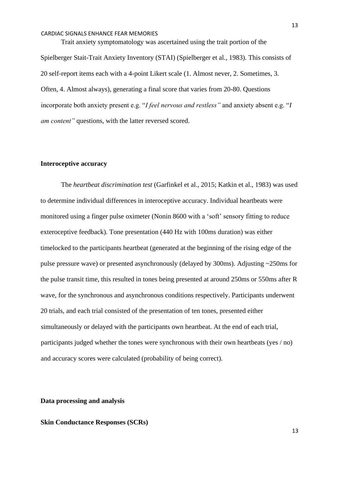Trait anxiety symptomatology was ascertained using the trait portion of the Spielberger Stait-Trait Anxiety Inventory (STAI) (Spielberger et al., 1983). This consists of 20 self-report items each with a 4-point Likert scale (1. Almost never, 2. Sometimes, 3. Often, 4. Almost always), generating a final score that varies from 20-80. Questions incorporate both anxiety present e.g. "*I feel nervous and restless"* and anxiety absent e.g. "*I am content"* questions, with the latter reversed scored.

### **Interoceptive accuracy**

The *heartbeat discrimination test* (Garfinkel et al., 2015; Katkin et al., 1983) was used to determine individual differences in interoceptive accuracy. Individual heartbeats were monitored using a finger pulse oximeter (Nonin 8600 with a 'soft' sensory fitting to reduce exteroceptive feedback). Tone presentation (440 Hz with 100ms duration) was either timelocked to the participants heartbeat (generated at the beginning of the rising edge of the pulse pressure wave) or presented asynchronously (delayed by 300ms). Adjusting ~250ms for the pulse transit time, this resulted in tones being presented at around 250ms or 550ms after R wave, for the synchronous and asynchronous conditions respectively. Participants underwent 20 trials, and each trial consisted of the presentation of ten tones, presented either simultaneously or delayed with the participants own heartbeat. At the end of each trial, participants judged whether the tones were synchronous with their own heartbeats (yes / no) and accuracy scores were calculated (probability of being correct).

# **Data processing and analysis**

# **Skin Conductance Responses (SCRs)**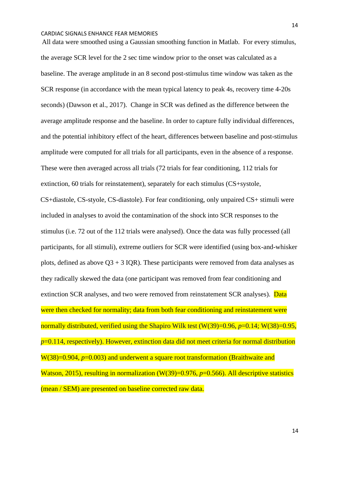All data were smoothed using a Gaussian smoothing function in Matlab. For every stimulus, the average SCR level for the 2 sec time window prior to the onset was calculated as a baseline. The average amplitude in an 8 second post-stimulus time window was taken as the SCR response (in accordance with the mean typical latency to peak 4s, recovery time 4-20s seconds) (Dawson et al., 2017). Change in SCR was defined as the difference between the average amplitude response and the baseline. In order to capture fully individual differences, and the potential inhibitory effect of the heart, differences between baseline and post-stimulus amplitude were computed for all trials for all participants, even in the absence of a response. These were then averaged across all trials (72 trials for fear conditioning, 112 trials for extinction, 60 trials for reinstatement), separately for each stimulus (CS+systole, CS+diastole, CS-styole, CS-diastole). For fear conditioning, only unpaired CS+ stimuli were included in analyses to avoid the contamination of the shock into SCR responses to the stimulus (i.e. 72 out of the 112 trials were analysed). Once the data was fully processed (all participants, for all stimuli), extreme outliers for SCR were identified (using box-and-whisker plots, defined as above  $Q3 + 3$  IQR). These participants were removed from data analyses as they radically skewed the data (one participant was removed from fear conditioning and extinction SCR analyses, and two were removed from reinstatement SCR analyses). Data were then checked for normality; data from both fear conditioning and reinstatement were normally distributed, verified using the Shapiro Wilk test (W(39)=0.96, *p*=0.14; W(38)=0.95, *p*=0.114, respectively). However, extinction data did not meet criteria for normal distribution W(38)=0.904, *p*=0.003) and underwent a square root transformation (Braithwaite and Watson, 2015), resulting in normalization (W(39)=0.976, *p*=0.566). All descriptive statistics (mean / SEM) are presented on baseline corrected raw data.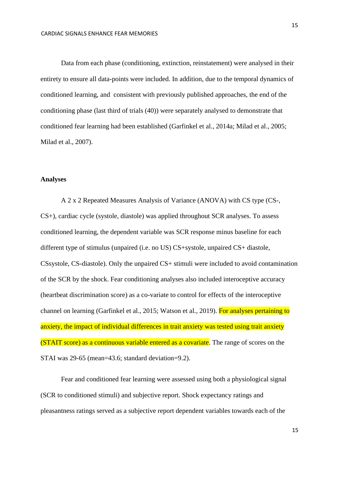Data from each phase (conditioning, extinction, reinstatement) were analysed in their entirety to ensure all data-points were included. In addition, due to the temporal dynamics of conditioned learning, and consistent with previously published approaches, the end of the conditioning phase (last third of trials (40)) were separately analysed to demonstrate that conditioned fear learning had been established (Garfinkel et al., 2014a; Milad et al., 2005; Milad et al., 2007).

# **Analyses**

A 2 x 2 Repeated Measures Analysis of Variance (ANOVA) with CS type (CS-, CS+), cardiac cycle (systole, diastole) was applied throughout SCR analyses. To assess conditioned learning, the dependent variable was SCR response minus baseline for each different type of stimulus (unpaired (i.e. no US) CS+systole, unpaired CS+ diastole, CSsystole, CS-diastole). Only the unpaired CS+ stimuli were included to avoid contamination of the SCR by the shock. Fear conditioning analyses also included interoceptive accuracy (heartbeat discrimination score) as a co-variate to control for effects of the interoceptive channel on learning (Garfinkel et al., 2015; Watson et al., 2019). For analyses pertaining to anxiety, the impact of individual differences in trait anxiety was tested using trait anxiety (STAIT score) as a continuous variable entered as a covariate. The range of scores on the STAI was 29-65 (mean=43.6; standard deviation=9.2).

Fear and conditioned fear learning were assessed using both a physiological signal (SCR to conditioned stimuli) and subjective report. Shock expectancy ratings and pleasantness ratings served as a subjective report dependent variables towards each of the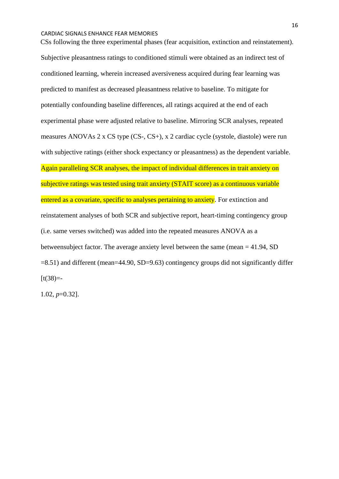CSs following the three experimental phases (fear acquisition, extinction and reinstatement). Subjective pleasantness ratings to conditioned stimuli were obtained as an indirect test of conditioned learning, wherein increased aversiveness acquired during fear learning was predicted to manifest as decreased pleasantness relative to baseline. To mitigate for potentially confounding baseline differences, all ratings acquired at the end of each experimental phase were adjusted relative to baseline. Mirroring SCR analyses, repeated measures ANOVAs 2 x CS type (CS-, CS+), x 2 cardiac cycle (systole, diastole) were run with subjective ratings (either shock expectancy or pleasantness) as the dependent variable. Again paralleling SCR analyses, the impact of individual differences in trait anxiety on subjective ratings was tested using trait anxiety (STAIT score) as a continuous variable entered as a covariate, specific to analyses pertaining to anxiety. For extinction and reinstatement analyses of both SCR and subjective report, heart-timing contingency group (i.e. same verses switched) was added into the repeated measures ANOVA as a betweensubject factor. The average anxiety level between the same (mean = 41.94, SD =8.51) and different (mean=44.90, SD=9.63) contingency groups did not significantly differ  $[t(38)=-$ 

1.02, *p*=0.32].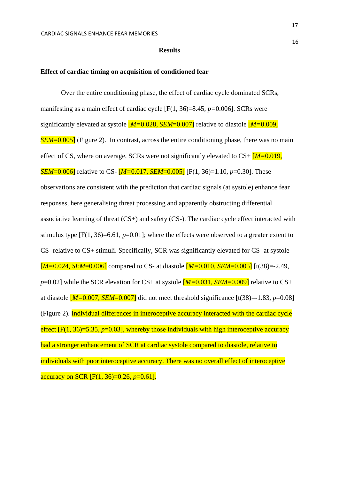### **Results**

### **Effect of cardiac timing on acquisition of conditioned fear**

Over the entire conditioning phase, the effect of cardiac cycle dominated SCRs, manifesting as a main effect of cardiac cycle [F(1, 36)=8.45, *p=*0.006]. SCRs were significantly elevated at systole [*M=*0.028, *SEM*=0.007] relative to diastole [*M=*0.009, *SEM*=0.005] (Figure 2). In contrast, across the entire conditioning phase, there was no main effect of CS, where on average, SCRs were not significantly elevated to CS+ [*M=*0.019, *SEM*=0.006] relative to CS- [*M=*0.017, *SEM*=0.005] [F(1, 36)=1.10, *p*=0.30]. These observations are consistent with the prediction that cardiac signals (at systole) enhance fear responses, here generalising threat processing and apparently obstructing differential associative learning of threat (CS+) and safety (CS-). The cardiac cycle effect interacted with stimulus type [F(1, 36)=6.61, *p*=0.01]; where the effects were observed to a greater extent to CS- relative to CS+ stimuli. Specifically, SCR was significantly elevated for CS- at systole [*M=*0.024, *SEM*=0.006] compared to CS- at diastole [*M=*0.010, *SEM*=0.005] [t(38)=-2.49, *p*=0.02] while the SCR elevation for CS+ at systole  $[M=0.031, SEM=0.009]$  relative to CS+ at diastole  $[M=0.007, SEM=0.007]$  did not meet threshold significance  $[t(38)=1.83, p=0.08]$ (Figure 2). Individual differences in interoceptive accuracy interacted with the cardiac cycle effect  $[F(1, 36)=5.35, p=0.03]$ , whereby those individuals with high interoceptive accuracy had a stronger enhancement of SCR at cardiac systole compared to diastole, relative to individuals with poor interoceptive accuracy. There was no overall effect of interoceptive accuracy on SCR [F(1, 36)=0.26, *p*=0.61].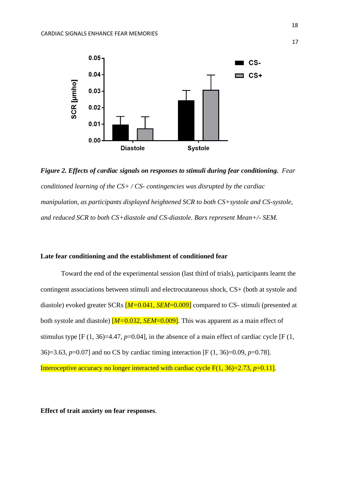

*Figure 2. Effects of cardiac signals on responses to stimuli during fear conditioning. Fear conditioned learning of the CS+ / CS- contingencies was disrupted by the cardiac manipulation, as participants displayed heightened SCR to both CS+systole and CS-systole, and reduced SCR to both CS+diastole and CS-diastole. Bars represent Mean+/- SEM.*

# **Late fear conditioning and the establishment of conditioned fear**

Toward the end of the experimental session (last third of trials), participants learnt the contingent associations between stimuli and electrocutaneous shock, CS+ (both at systole and diastole) evoked greater SCRs  $[M=0.041, SEM=0.009]$  compared to CS- stimuli (presented at both systole and diastole) [*M=*0.032, *SEM*=0.009]. This was apparent as a main effect of stimulus type  $[F(1, 36)=4.47, p=0.04]$ , in the absence of a main effect of cardiac cycle  $[F(1, 16])$ 36)=3.63, *p*=0.07] and no CS by cardiac timing interaction [F (1, 36)=0.09, *p*=0.78]. Interoceptive accuracy no longer interacted with cardiac cycle F(1, 36)=2.73, *p*=0.11].

**Effect of trait anxiety on fear responses**.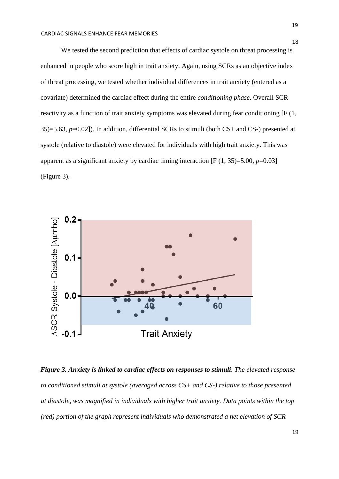We tested the second prediction that effects of cardiac systole on threat processing is enhanced in people who score high in trait anxiety. Again, using SCRs as an objective index of threat processing, we tested whether individual differences in trait anxiety (entered as a covariate) determined the cardiac effect during the entire *conditioning phase*. Overall SCR reactivity as a function of trait anxiety symptoms was elevated during fear conditioning [F (1, 35)=5.63, *p*=0.02]). In addition, differential SCRs to stimuli (both CS+ and CS-) presented at systole (relative to diastole) were elevated for individuals with high trait anxiety. This was apparent as a significant anxiety by cardiac timing interaction  $[F(1, 35)=5.00, p=0.03]$ (Figure 3).



*Figure 3. Anxiety is linked to cardiac effects on responses to stimuli. The elevated response to conditioned stimuli at systole (averaged across CS+ and CS-) relative to those presented at diastole, was magnified in individuals with higher trait anxiety. Data points within the top (red) portion of the graph represent individuals who demonstrated a net elevation of SCR*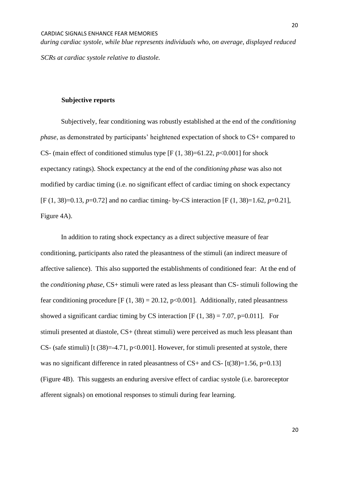*during cardiac systole, while blue represents individuals who, on average, displayed reduced SCRs at cardiac systole relative to diastole.* 

### **Subjective reports**

Subjectively, fear conditioning was robustly established at the end of the *conditioning phase*, as demonstrated by participants' heightened expectation of shock to CS+ compared to CS- (main effect of conditioned stimulus type  $[F(1, 38)=61.22, p<0.001]$  for shock expectancy ratings). Shock expectancy at the end of the *conditioning phase* was also not modified by cardiac timing (i.e. no significant effect of cardiac timing on shock expectancy [F (1, 38)=0.13, *p*=0.72] and no cardiac timing- by-CS interaction [F (1, 38)=1.62, *p*=0.21], Figure 4A).

In addition to rating shock expectancy as a direct subjective measure of fear conditioning, participants also rated the pleasantness of the stimuli (an indirect measure of affective salience). This also supported the establishments of conditioned fear: At the end of the *conditioning phase,* CS+ stimuli were rated as less pleasant than CS- stimuli following the fear conditioning procedure  $[F(1, 38) = 20.12, p<0.001]$ . Additionally, rated pleasantness showed a significant cardiac timing by CS interaction  $[F (1, 38) = 7.07, p=0.011]$ . For stimuli presented at diastole, CS+ (threat stimuli) were perceived as much less pleasant than CS- (safe stimuli) [ $t$  (38)=-4.71, p<0.001]. However, for stimuli presented at systole, there was no significant difference in rated pleasantness of  $CS+$  and  $CS-$  [t(38)=1.56, p=0.13] (Figure 4B). This suggests an enduring aversive effect of cardiac systole (i.e. baroreceptor afferent signals) on emotional responses to stimuli during fear learning.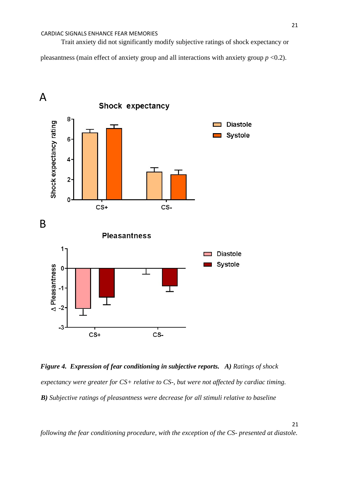Trait anxiety did not significantly modify subjective ratings of shock expectancy or

pleasantness (main effect of anxiety group and all interactions with anxiety group *p* <0.2).



*Figure 4. Expression of fear conditioning in subjective reports. A) Ratings of shock expectancy were greater for CS+ relative to CS-, but were not affected by cardiac timing. B) Subjective ratings of pleasantness were decrease for all stimuli relative to baseline* 

*following the fear conditioning procedure, with the exception of the CS- presented at diastole.*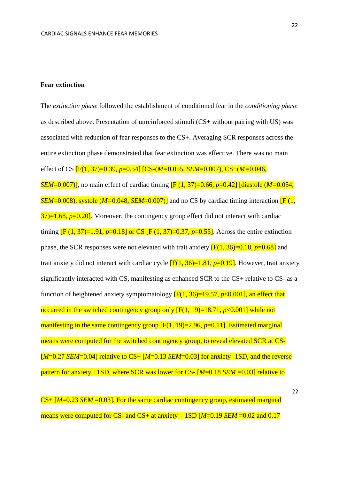### **Fear extinction**

The *extinction phase* followed the establishment of conditioned fear in the *conditioning phase* as described above. Presentation of unreinforced stimuli (CS+ without pairing with US) was associated with reduction of fear responses to the CS+. Averaging SCR responses across the entire extinction phase demonstrated that fear extinction was effective. There was no main effect of CS [F(1, 37)=0.39, *p*=0.54] [CS-(*M=*0.055, *SEM*=0.007), CS+(*M=*0.046, *SEM*=0.007)], no main effect of cardiac timing [F (1, 37)=0.66, *p*=0.42] [diastole (*M=*0.054, *SEM*=0.008), systole (*M*=0.048, *SEM*=0.007)] and no CS by cardiac timing interaction **[F** (1,  $37$ =1.68,  $p=0.20$ ]. Moreover, the contingency group effect did not interact with cardiac timing  $[F (1, 37)=1.91, p=0.18]$  or CS  $[F (1, 37)=0.37, p=0.55]$ . Across the entire extinction phase, the SCR responses were not elevated with trait anxiety  $[F(1, 36)=0.18, p=0.68]$  and trait anxiety did not interact with cardiac cycle  $[F(1, 36)=1.81, p=0.19]$ . However, trait anxiety significantly interacted with CS, manifesting as enhanced SCR to the CS+ relative to CS- as a function of heightened anxiety symptomatology  $[F(1, 36)=19.57, p<0.001]$ , an effect that occurred in the switched contingency group only [F(1, 19)=18.71, *p*<0.001] while not manifesting in the same contingency group [F(1, 19)=2.96, p=0.11]. Estimated marginal means were computed for the switched contingency group, to reveal elevated SCR at CS-[*M*=0.27 *SEM*=0.04] relative to CS+ [*M*=0.13 *SEM*=0.03] for anxiety -1SD, and the reverse pattern for anxiety +1SD, where SCR was lower for CS- [*M*=0.18 *SEM* =0.03] relative to

CS+ [*M*=0.23 *SEM* =0.03]. For the same cardiac contingency group, estimated marginal means were computed for CS- and CS+ at anxiety – 1SD [*M*=0.19 *SEM* = 0.02 and 0.17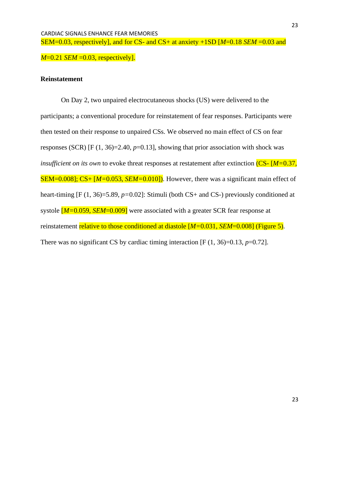CARDIAC SIGNALS ENHANCE FEAR MEMORIES SEM=0.03, respectively], and for CS- and CS+ at anxiety +1SD [*M*=0.18 *SEM* =0.03 and

*M*=0.21 *SEM* = 0.03, respectively].

# **Reinstatement**

On Day 2, two unpaired electrocutaneous shocks (US) were delivered to the participants; a conventional procedure for reinstatement of fear responses. Participants were then tested on their response to unpaired CSs. We observed no main effect of CS on fear responses (SCR) [F (1, 36)=2.40, *p*=0.13], showing that prior association with shock was *insufficient on its own* to evoke threat responses at restatement after extinction (CS- [*M*=0.37, SEM=0.008]; CS+ [*M=*0.053, *SEM=*0.010]). However, there was a significant main effect of heart-timing [F (1, 36)=5.89, *p*=0.02]: Stimuli (both CS+ and CS-) previously conditioned at systole [*M=*0.059, *SEM*=0.009] were associated with a greater SCR fear response at reinstatement relative to those conditioned at diastole [*M=*0.031, *SEM*=0.008] (Figure 5). There was no significant CS by cardiac timing interaction  $[F(1, 36)=0.13, p=0.72]$ .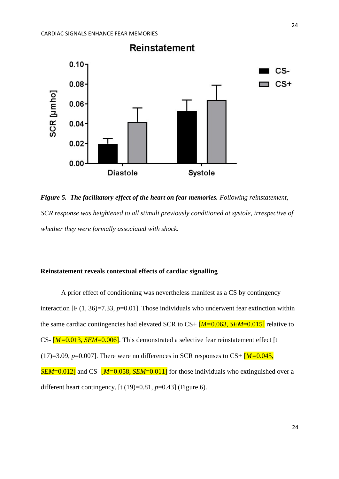

*Figure 5. The facilitatory effect of the heart on fear memories. Following reinstatement, SCR response was heightened to all stimuli previously conditioned at systole, irrespective of whether they were formally associated with shock.* 

# **Reinstatement reveals contextual effects of cardiac signalling**

A prior effect of conditioning was nevertheless manifest as a CS by contingency interaction  $[F(1, 36)=7.33, p=0.01]$ . Those individuals who underwent fear extinction within the same cardiac contingencies had elevated SCR to CS+ [*M=*0.063, *SEM*=0.015] relative to CS- [*M=*0.013, *SEM*=0.006]. This demonstrated a selective fear reinstatement effect [t  $(17)=3.09$ ,  $p=0.007$ ]. There were no differences in SCR responses to CS+  $\overline{M}=0.045$ , *SEM*=0.012] and CS- [*M*=0.058, *SEM*=0.011] for those individuals who extinguished over a different heart contingency, [t (19)=0.81, *p*=0.43] (Figure 6).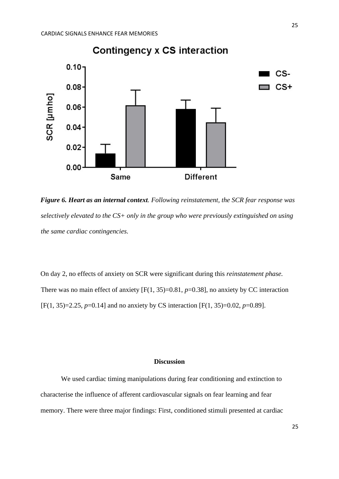

*Figure 6. Heart as an internal context. Following reinstatement, the SCR fear response was selectively elevated to the CS+ only in the group who were previously extinguished on using the same cardiac contingencies.* 

On day 2, no effects of anxiety on SCR were significant during this *reinstatement phase.*  There was no main effect of anxiety  $[F(1, 35)=0.81, p=0.38]$ , no anxiety by CC interaction [F(1, 35)=2.25, *p*=0.14] and no anxiety by CS interaction [F(1, 35)=0.02, *p*=0.89].

## **Discussion**

We used cardiac timing manipulations during fear conditioning and extinction to characterise the influence of afferent cardiovascular signals on fear learning and fear memory. There were three major findings: First, conditioned stimuli presented at cardiac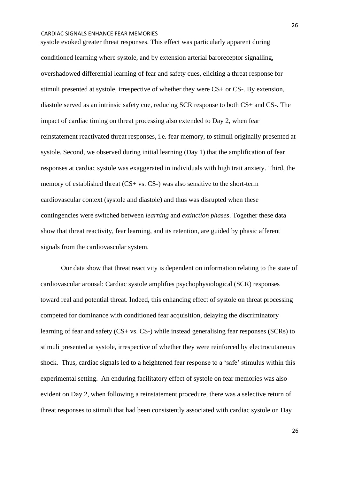systole evoked greater threat responses. This effect was particularly apparent during conditioned learning where systole, and by extension arterial baroreceptor signalling, overshadowed differential learning of fear and safety cues, eliciting a threat response for stimuli presented at systole, irrespective of whether they were CS+ or CS-. By extension, diastole served as an intrinsic safety cue, reducing SCR response to both CS+ and CS-. The impact of cardiac timing on threat processing also extended to Day 2, when fear reinstatement reactivated threat responses, i.e. fear memory, to stimuli originally presented at systole. Second, we observed during initial learning (Day 1) that the amplification of fear responses at cardiac systole was exaggerated in individuals with high trait anxiety. Third, the memory of established threat (CS+ vs. CS-) was also sensitive to the short-term cardiovascular context (systole and diastole) and thus was disrupted when these contingencies were switched between *learning* and *extinction phases*. Together these data show that threat reactivity, fear learning, and its retention, are guided by phasic afferent signals from the cardiovascular system.

Our data show that threat reactivity is dependent on information relating to the state of cardiovascular arousal: Cardiac systole amplifies psychophysiological (SCR) responses toward real and potential threat. Indeed, this enhancing effect of systole on threat processing competed for dominance with conditioned fear acquisition, delaying the discriminatory learning of fear and safety (CS+ vs. CS-) while instead generalising fear responses (SCRs) to stimuli presented at systole, irrespective of whether they were reinforced by electrocutaneous shock. Thus, cardiac signals led to a heightened fear response to a 'safe' stimulus within this experimental setting. An enduring facilitatory effect of systole on fear memories was also evident on Day 2, when following a reinstatement procedure, there was a selective return of threat responses to stimuli that had been consistently associated with cardiac systole on Day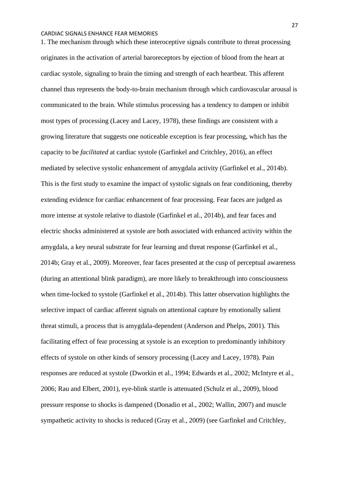1. The mechanism through which these interoceptive signals contribute to threat processing originates in the activation of arterial baroreceptors by ejection of blood from the heart at cardiac systole, signaling to brain the timing and strength of each heartbeat. This afferent channel thus represents the body-to-brain mechanism through which cardiovascular arousal is communicated to the brain. While stimulus processing has a tendency to dampen or inhibit most types of processing (Lacey and Lacey, 1978), these findings are consistent with a growing literature that suggests one noticeable exception is fear processing, which has the capacity to be *facilitated* at cardiac systole (Garfinkel and Critchley, 2016), an effect mediated by selective systolic enhancement of amygdala activity (Garfinkel et al., 2014b). This is the first study to examine the impact of systolic signals on fear conditioning, thereby extending evidence for cardiac enhancement of fear processing. Fear faces are judged as more intense at systole relative to diastole (Garfinkel et al., 2014b), and fear faces and electric shocks administered at systole are both associated with enhanced activity within the amygdala, a key neural substrate for fear learning and threat response (Garfinkel et al., 2014b; Gray et al., 2009). Moreover, fear faces presented at the cusp of perceptual awareness (during an attentional blink paradigm), are more likely to breakthrough into consciousness when time-locked to systole (Garfinkel et al., 2014b). This latter observation highlights the selective impact of cardiac afferent signals on attentional capture by emotionally salient threat stimuli, a process that is amygdala-dependent (Anderson and Phelps, 2001). This facilitating effect of fear processing at systole is an exception to predominantly inhibitory effects of systole on other kinds of sensory processing (Lacey and Lacey, 1978). Pain responses are reduced at systole (Dworkin et al., 1994; Edwards et al., 2002; McIntyre et al., 2006; Rau and Elbert, 2001), eye-blink startle is attenuated (Schulz et al., 2009), blood pressure response to shocks is dampened (Donadio et al., 2002; Wallin, 2007) and muscle sympathetic activity to shocks is reduced (Gray et al., 2009) (see Garfinkel and Critchley,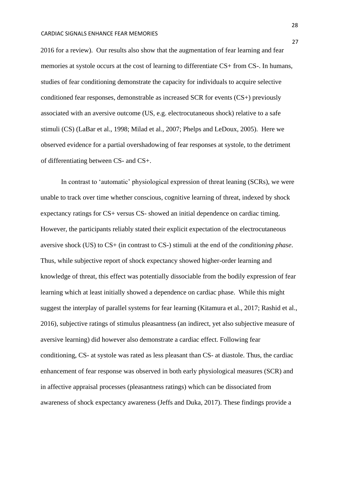2016 for a review). Our results also show that the augmentation of fear learning and fear memories at systole occurs at the cost of learning to differentiate CS+ from CS-. In humans, studies of fear conditioning demonstrate the capacity for individuals to acquire selective conditioned fear responses, demonstrable as increased SCR for events (CS+) previously associated with an aversive outcome (US, e.g. electrocutaneous shock) relative to a safe stimuli (CS) (LaBar et al., 1998; Milad et al., 2007; Phelps and LeDoux, 2005). Here we observed evidence for a partial overshadowing of fear responses at systole, to the detriment of differentiating between CS- and CS+.

In contrast to 'automatic' physiological expression of threat leaning (SCRs), we were unable to track over time whether conscious, cognitive learning of threat, indexed by shock expectancy ratings for CS+ versus CS- showed an initial dependence on cardiac timing. However, the participants reliably stated their explicit expectation of the electrocutaneous aversive shock (US) to CS+ (in contrast to CS-) stimuli at the end of the *conditioning phase*. Thus, while subjective report of shock expectancy showed higher-order learning and knowledge of threat, this effect was potentially dissociable from the bodily expression of fear learning which at least initially showed a dependence on cardiac phase. While this might suggest the interplay of parallel systems for fear learning (Kitamura et al., 2017; Rashid et al., 2016), subjective ratings of stimulus pleasantness (an indirect, yet also subjective measure of aversive learning) did however also demonstrate a cardiac effect. Following fear conditioning, CS- at systole was rated as less pleasant than CS- at diastole. Thus, the cardiac enhancement of fear response was observed in both early physiological measures (SCR) and in affective appraisal processes (pleasantness ratings) which can be dissociated from awareness of shock expectancy awareness (Jeffs and Duka, 2017). These findings provide a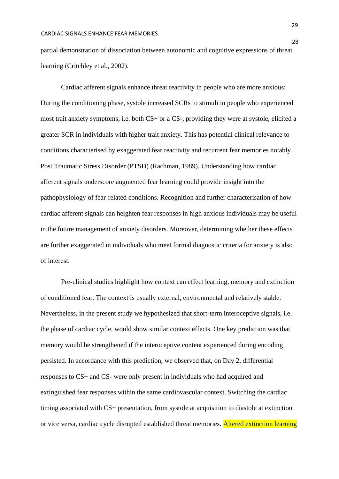partial demonstration of dissociation between autonomic and cognitive expressions of threat learning (Critchley et al., 2002).

Cardiac afferent signals enhance threat reactivity in people who are more anxious: During the conditioning phase, systole increased SCRs to stimuli in people who experienced most trait anxiety symptoms; i.e. both CS+ or a CS-, providing they were at systole, elicited a greater SCR in individuals with higher trait anxiety. This has potential clinical relevance to conditions characterised by exaggerated fear reactivity and recurrent fear memories notably Post Traumatic Stress Disorder (PTSD) (Rachman, 1989). Understanding how cardiac afferent signals underscore augmented fear learning could provide insight into the pathophysiology of fear-related conditions. Recognition and further characterisation of how cardiac afferent signals can heighten fear responses in high anxious individuals may be useful in the future management of anxiety disorders. Moreover, determining whether these effects are further exaggerated in individuals who meet formal diagnostic criteria for anxiety is also of interest.

Pre-clinical studies highlight how context can effect learning, memory and extinction of conditioned fear. The context is usually external, environmental and relatively stable. Nevertheless, in the present study we hypothesized that short-term interoceptive signals, i.e. the phase of cardiac cycle, would show similar context effects. One key prediction was that memory would be strengthened if the interoceptive content experienced during encoding persisted. In accordance with this prediction, we observed that, on Day 2, differential responses to CS+ and CS- were only present in individuals who had acquired and extinguished fear responses within the same cardiovascular context. Switching the cardiac timing associated with CS+ presentation, from systole at acquisition to diastole at extinction or vice versa, cardiac cycle disrupted established threat memories. Altered extinction learning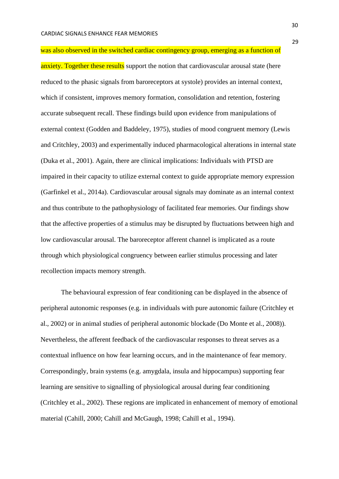was also observed in the switched cardiac contingency group, emerging as a function of anxiety. Together these results support the notion that cardiovascular arousal state (here reduced to the phasic signals from baroreceptors at systole) provides an internal context, which if consistent, improves memory formation, consolidation and retention, fostering accurate subsequent recall. These findings build upon evidence from manipulations of external context (Godden and Baddeley, 1975), studies of mood congruent memory (Lewis and Critchley, 2003) and experimentally induced pharmacological alterations in internal state (Duka et al., 2001). Again, there are clinical implications: Individuals with PTSD are impaired in their capacity to utilize external context to guide appropriate memory expression (Garfinkel et al., 2014a). Cardiovascular arousal signals may dominate as an internal context and thus contribute to the pathophysiology of facilitated fear memories. Our findings show that the affective properties of a stimulus may be disrupted by fluctuations between high and low cardiovascular arousal. The baroreceptor afferent channel is implicated as a route through which physiological congruency between earlier stimulus processing and later recollection impacts memory strength.

The behavioural expression of fear conditioning can be displayed in the absence of peripheral autonomic responses (e.g. in individuals with pure autonomic failure (Critchley et al., 2002) or in animal studies of peripheral autonomic blockade (Do Monte et al., 2008)). Nevertheless, the afferent feedback of the cardiovascular responses to threat serves as a contextual influence on how fear learning occurs, and in the maintenance of fear memory. Correspondingly, brain systems (e.g. amygdala, insula and hippocampus) supporting fear learning are sensitive to signalling of physiological arousal during fear conditioning (Critchley et al., 2002). These regions are implicated in enhancement of memory of emotional material (Cahill, 2000; Cahill and McGaugh, 1998; Cahill et al., 1994).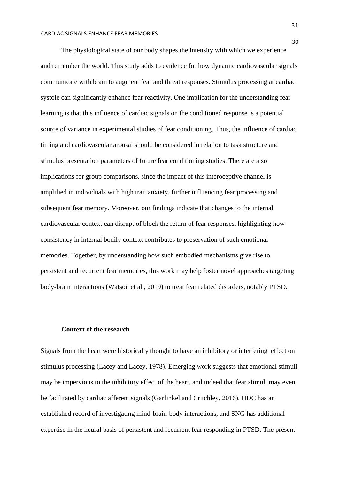The physiological state of our body shapes the intensity with which we experience and remember the world. This study adds to evidence for how dynamic cardiovascular signals communicate with brain to augment fear and threat responses. Stimulus processing at cardiac systole can significantly enhance fear reactivity. One implication for the understanding fear learning is that this influence of cardiac signals on the conditioned response is a potential source of variance in experimental studies of fear conditioning. Thus, the influence of cardiac timing and cardiovascular arousal should be considered in relation to task structure and stimulus presentation parameters of future fear conditioning studies. There are also implications for group comparisons, since the impact of this interoceptive channel is amplified in individuals with high trait anxiety, further influencing fear processing and subsequent fear memory. Moreover, our findings indicate that changes to the internal cardiovascular context can disrupt of block the return of fear responses, highlighting how consistency in internal bodily context contributes to preservation of such emotional memories. Together, by understanding how such embodied mechanisms give rise to persistent and recurrent fear memories, this work may help foster novel approaches targeting body-brain interactions (Watson et al., 2019) to treat fear related disorders, notably PTSD.

#### **Context of the research**

Signals from the heart were historically thought to have an inhibitory or interfering effect on stimulus processing (Lacey and Lacey, 1978). Emerging work suggests that emotional stimuli may be impervious to the inhibitory effect of the heart, and indeed that fear stimuli may even be facilitated by cardiac afferent signals (Garfinkel and Critchley, 2016). HDC has an established record of investigating mind-brain-body interactions, and SNG has additional expertise in the neural basis of persistent and recurrent fear responding in PTSD. The present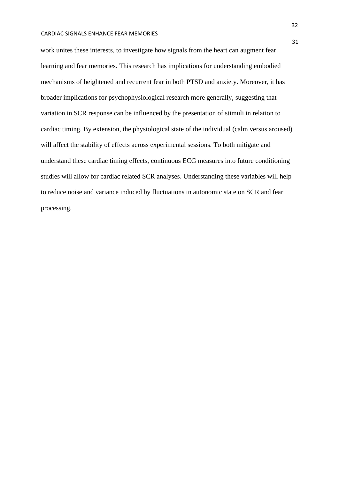work unites these interests, to investigate how signals from the heart can augment fear learning and fear memories. This research has implications for understanding embodied mechanisms of heightened and recurrent fear in both PTSD and anxiety. Moreover, it has broader implications for psychophysiological research more generally, suggesting that variation in SCR response can be influenced by the presentation of stimuli in relation to cardiac timing. By extension, the physiological state of the individual (calm versus aroused) will affect the stability of effects across experimental sessions. To both mitigate and understand these cardiac timing effects, continuous ECG measures into future conditioning studies will allow for cardiac related SCR analyses. Understanding these variables will help to reduce noise and variance induced by fluctuations in autonomic state on SCR and fear processing.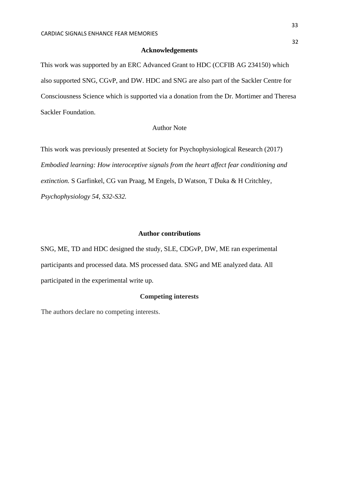### **Acknowledgements**

This work was supported by an ERC Advanced Grant to HDC (CCFIB AG 234150) which also supported SNG, CGvP, and DW. HDC and SNG are also part of the Sackler Centre for Consciousness Science which is supported via a donation from the Dr. Mortimer and Theresa Sackler Foundation.

# Author Note

This work was previously presented at Society for Psychophysiological Research (2017) *Embodied learning: How interoceptive signals from the heart affect fear conditioning and extinction.* S Garfinkel, CG van Praag, M Engels, D Watson, T Duka & H Critchley*, Psychophysiology 54, S32-S32.* 

### **Author contributions**

SNG, ME, TD and HDC designed the study, SLE, CDGvP, DW, ME ran experimental participants and processed data. MS processed data. SNG and ME analyzed data. All participated in the experimental write up.

# **Competing interests**

The authors declare no competing interests.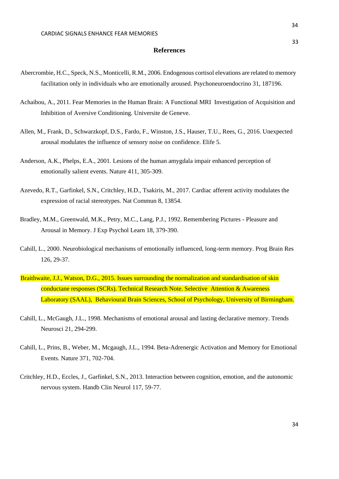### **References**

- Abercrombie, H.C., Speck, N.S., Monticelli, R.M., 2006. Endogenous cortisol elevations are related to memory facilitation only in individuals who are emotionally aroused. Psychoneuroendocrino 31, 187196.
- Achaibou, A., 2011. Fear Memories in the Human Brain: A Functional MRI Investigation of Acquisition and Inhibition of Aversive Conditioning. Universite de Geneve.
- Allen, M., Frank, D., Schwarzkopf, D.S., Fardo, F., Winston, J.S., Hauser, T.U., Rees, G., 2016. Unexpected arousal modulates the influence of sensory noise on confidence. Elife 5.
- Anderson, A.K., Phelps, E.A., 2001. Lesions of the human amygdala impair enhanced perception of emotionally salient events. Nature 411, 305-309.
- Azevedo, R.T., Garfinkel, S.N., Critchley, H.D., Tsakiris, M., 2017. Cardiac afferent activity modulates the expression of racial stereotypes. Nat Commun 8, 13854.
- Bradley, M.M., Greenwald, M.K., Petry, M.C., Lang, P.J., 1992. Remembering Pictures Pleasure and Arousal in Memory. J Exp Psychol Learn 18, 379-390.
- Cahill, L., 2000. Neurobiological mechanisms of emotionally influenced, long-term memory. Prog Brain Res 126, 29-37.
- Braithwaite, J.J., Watson, D.G., 2015. Issues surrounding the normalization and standardisation of skin conductane responses (SCRs). Technical Research Note. Selective Attention & Awareness Laboratory (SAAL), Behavioural Brain Sciences, School of Psychology, University of Birmingham.
- Cahill, L., McGaugh, J.L., 1998. Mechanisms of emotional arousal and lasting declarative memory. Trends Neurosci 21, 294-299.
- Cahill, L., Prins, B., Weber, M., Mcgaugh, J.L., 1994. Beta-Adrenergic Activation and Memory for Emotional Events. Nature 371, 702-704.
- Critchley, H.D., Eccles, J., Garfinkel, S.N., 2013. Interaction between cognition, emotion, and the autonomic nervous system. Handb Clin Neurol 117, 59-77.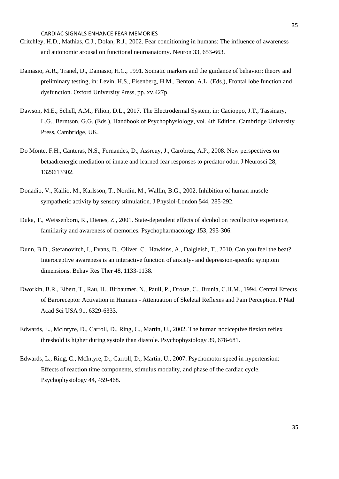- Critchley, H.D., Mathias, C.J., Dolan, R.J., 2002. Fear conditioning in humans: The influence of awareness and autonomic arousal on functional neuroanatomy. Neuron 33, 653-663.
- Damasio, A.R., Tranel, D., Damasio, H.C., 1991. Somatic markers and the guidance of behavior: theory and preliminary testing, in: Levin, H.S., Eisenberg, H.M., Benton, A.L. (Eds.), Frontal lobe function and dysfunction. Oxford University Press, pp. xv,427p.
- Dawson, M.E., Schell, A.M., Filion, D.L., 2017. The Electrodermal System, in: Cacioppo, J.T., Tassinary, L.G., Berntson, G.G. (Eds.), Handbook of Psychophysiology, vol. 4th Edition. Cambridge University Press, Cambridge, UK.
- Do Monte, F.H., Canteras, N.S., Fernandes, D., Assreuy, J., Carobrez, A.P., 2008. New perspectives on betaadrenergic mediation of innate and learned fear responses to predator odor. J Neurosci 28, 1329613302.
- Donadio, V., Kallio, M., Karlsson, T., Nordin, M., Wallin, B.G., 2002. Inhibition of human muscle sympathetic activity by sensory stimulation. J Physiol-London 544, 285-292.
- Duka, T., Weissenborn, R., Dienes, Z., 2001. State-dependent effects of alcohol on recollective experience, familiarity and awareness of memories. Psychopharmacology 153, 295-306.
- Dunn, B.D., Stefanovitch, I., Evans, D., Oliver, C., Hawkins, A., Dalgleish, T., 2010. Can you feel the beat? Interoceptive awareness is an interactive function of anxiety- and depression-specific symptom dimensions. Behav Res Ther 48, 1133-1138.
- Dworkin, B.R., Elbert, T., Rau, H., Birbaumer, N., Pauli, P., Droste, C., Brunia, C.H.M., 1994. Central Effects of Baroreceptor Activation in Humans - Attenuation of Skeletal Reflexes and Pain Perception. P Natl Acad Sci USA 91, 6329-6333.
- Edwards, L., McIntyre, D., Carroll, D., Ring, C., Martin, U., 2002. The human nociceptive flexion reflex threshold is higher during systole than diastole. Psychophysiology 39, 678-681.
- Edwards, L., Ring, C., McIntyre, D., Carroll, D., Martin, U., 2007. Psychomotor speed in hypertension: Effects of reaction time components, stimulus modality, and phase of the cardiac cycle. Psychophysiology 44, 459-468.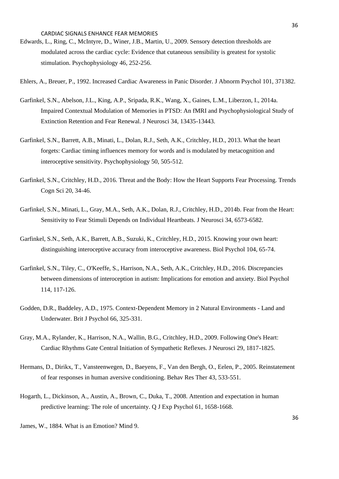- Edwards, L., Ring, C., McIntyre, D., Winer, J.B., Martin, U., 2009. Sensory detection thresholds are modulated across the cardiac cycle: Evidence that cutaneous sensibility is greatest for systolic stimulation. Psychophysiology 46, 252-256.
- Ehlers, A., Breuer, P., 1992. Increased Cardiac Awareness in Panic Disorder. J Abnorm Psychol 101, 371382.
- Garfinkel, S.N., Abelson, J.L., King, A.P., Sripada, R.K., Wang, X., Gaines, L.M., Liberzon, I., 2014a. Impaired Contextual Modulation of Memories in PTSD: An fMRI and Psychophysiological Study of Extinction Retention and Fear Renewal. J Neurosci 34, 13435-13443.
- Garfinkel, S.N., Barrett, A.B., Minati, L., Dolan, R.J., Seth, A.K., Critchley, H.D., 2013. What the heart forgets: Cardiac timing influences memory for words and is modulated by metacognition and interoceptive sensitivity. Psychophysiology 50, 505-512.
- Garfinkel, S.N., Critchley, H.D., 2016. Threat and the Body: How the Heart Supports Fear Processing. Trends Cogn Sci 20, 34-46.
- Garfinkel, S.N., Minati, L., Gray, M.A., Seth, A.K., Dolan, R.J., Critchley, H.D., 2014b. Fear from the Heart: Sensitivity to Fear Stimuli Depends on Individual Heartbeats. J Neurosci 34, 6573-6582.
- Garfinkel, S.N., Seth, A.K., Barrett, A.B., Suzuki, K., Critchley, H.D., 2015. Knowing your own heart: distinguishing interoceptive accuracy from interoceptive awareness. Biol Psychol 104, 65-74.
- Garfinkel, S.N., Tiley, C., O'Keeffe, S., Harrison, N.A., Seth, A.K., Critchley, H.D., 2016. Discrepancies between dimensions of interoception in autism: Implications for emotion and anxiety. Biol Psychol 114, 117-126.
- Godden, D.R., Baddeley, A.D., 1975. Context-Dependent Memory in 2 Natural Environments Land and Underwater. Brit J Psychol 66, 325-331.
- Gray, M.A., Rylander, K., Harrison, N.A., Wallin, B.G., Critchley, H.D., 2009. Following One's Heart: Cardiac Rhythms Gate Central Initiation of Sympathetic Reflexes. J Neurosci 29, 1817-1825.
- Hermans, D., Dirikx, T., Vansteenwegen, D., Baeyens, F., Van den Bergh, O., Eelen, P., 2005. Reinstatement of fear responses in human aversive conditioning. Behav Res Ther 43, 533-551.
- Hogarth, L., Dickinson, A., Austin, A., Brown, C., Duka, T., 2008. Attention and expectation in human predictive learning: The role of uncertainty. Q J Exp Psychol 61, 1658-1668.

James, W., 1884. What is an Emotion? Mind 9.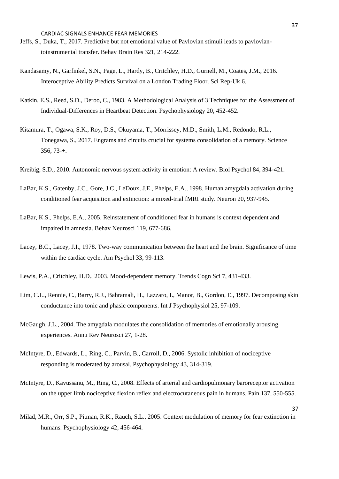- Jeffs, S., Duka, T., 2017. Predictive but not emotional value of Pavlovian stimuli leads to pavloviantoinstrumental transfer. Behav Brain Res 321, 214-222.
- Kandasamy, N., Garfinkel, S.N., Page, L., Hardy, B., Critchley, H.D., Gurnell, M., Coates, J.M., 2016. Interoceptive Ability Predicts Survival on a London Trading Floor. Sci Rep-Uk 6.
- Katkin, E.S., Reed, S.D., Deroo, C., 1983. A Methodological Analysis of 3 Techniques for the Assessment of Individual-Differences in Heartbeat Detection. Psychophysiology 20, 452-452.
- Kitamura, T., Ogawa, S.K., Roy, D.S., Okuyama, T., Morrissey, M.D., Smith, L.M., Redondo, R.L., Tonegawa, S., 2017. Engrams and circuits crucial for systems consolidation of a memory. Science 356, 73-+.
- Kreibig, S.D., 2010. Autonomic nervous system activity in emotion: A review. Biol Psychol 84, 394-421.
- LaBar, K.S., Gatenby, J.C., Gore, J.C., LeDoux, J.E., Phelps, E.A., 1998. Human amygdala activation during conditioned fear acquisition and extinction: a mixed-trial fMRI study. Neuron 20, 937-945.
- LaBar, K.S., Phelps, E.A., 2005. Reinstatement of conditioned fear in humans is context dependent and impaired in amnesia. Behav Neurosci 119, 677-686.
- Lacey, B.C., Lacey, J.I., 1978. Two-way communication between the heart and the brain. Significance of time within the cardiac cycle. Am Psychol 33, 99-113.
- Lewis, P.A., Critchley, H.D., 2003. Mood-dependent memory. Trends Cogn Sci 7, 431-433.
- Lim, C.L., Rennie, C., Barry, R.J., Bahramali, H., Lazzaro, I., Manor, B., Gordon, E., 1997. Decomposing skin conductance into tonic and phasic components. Int J Psychophysiol 25, 97-109.
- McGaugh, J.L., 2004. The amygdala modulates the consolidation of memories of emotionally arousing experiences. Annu Rev Neurosci 27, 1-28.
- McIntyre, D., Edwards, L., Ring, C., Parvin, B., Carroll, D., 2006. Systolic inhibition of nociceptive responding is moderated by arousal. Psychophysiology 43, 314-319.
- McIntyre, D., Kavussanu, M., Ring, C., 2008. Effects of arterial and cardiopulmonary baroreceptor activation on the upper limb nociceptive flexion reflex and electrocutaneous pain in humans. Pain 137, 550-555.
- Milad, M.R., Orr, S.P., Pitman, R.K., Rauch, S.L., 2005. Context modulation of memory for fear extinction in humans. Psychophysiology 42, 456-464.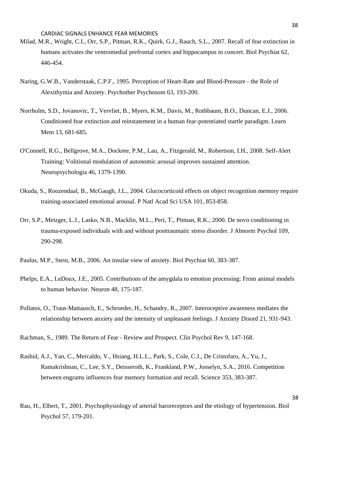- Milad, M.R., Wright, C.I., Orr, S.P., Pitman, R.K., Quirk, G.J., Rauch, S.L., 2007. Recall of fear extinction in humans activates the ventromedial prefrontal cortex and hippocampus in concert. Biol Psychiat 62, 446-454.
- Naring, G.W.B., Vanderstaak, C.P.F., 1995. Perception of Heart-Rate and Blood-Pressure the Role of Alexithymia and Anxiety. Psychother Psychosom 63, 193-200.
- Norrholm, S.D., Jovanovic, T., Vervliet, B., Myers, K.M., Davis, M., Rothbaum, B.O., Duncan, E.J., 2006. Conditioned fear extinction and reinstatement in a human fear-potentiated startle paradigm. Learn Mem 13, 681-685.
- O'Connell, R.G., Bellgrove, M.A., Dockree, P.M., Lau, A., Fitzgerald, M., Robertson, I.H., 2008. Self-Alert Training: Volitional modulation of autonomic arousal improves sustained attention. Neuropsychologia 46, 1379-1390.
- Okuda, S., Roozendaal, B., McGaugh, J.L., 2004. Glucocorticoid effects on object recognition memory require training-associated emotional arousal. P Natl Acad Sci USA 101, 853-858.
- Orr, S.P., Metzger, L.J., Lasko, N.B., Macklin, M.L., Peri, T., Pitman, R.K., 2000. De novo conditioning in trauma-exposed individuals with and without posttraumatic stress disorder. J Abnorm Psychol 109, 290-298.
- Paulus, M.P., Stein, M.B., 2006. An insular view of anxiety. Biol Psychiat 60, 383-387.
- Phelps, E.A., LeDoux, J.E., 2005. Contributions of the amygdala to emotion processing: From animal models to human behavior. Neuron 48, 175-187.
- Pollatos, O., Traut-Mattausch, E., Schroeder, H., Schandry, R., 2007. Interoceptive awareness mediates the relationship between anxiety and the intensity of unpleasant feelings. J Anxiety Disord 21, 931-943.

Rachman, S., 1989. The Return of Fear - Review and Prospect. Clin Psychol Rev 9, 147-168.

Rashid, A.J., Yan, C., Mercaldo, V., Hsiang, H.L.L., Park, S., Cole, C.J., De Cristofaro, A., Yu, J., Ramakrishnan, C., Lee, S.Y., Deisseroth, K., Frankland, P.W., Josselyn, S.A., 2016. Competition between engrams influences fear memory formation and recall. Science 353, 383-387.